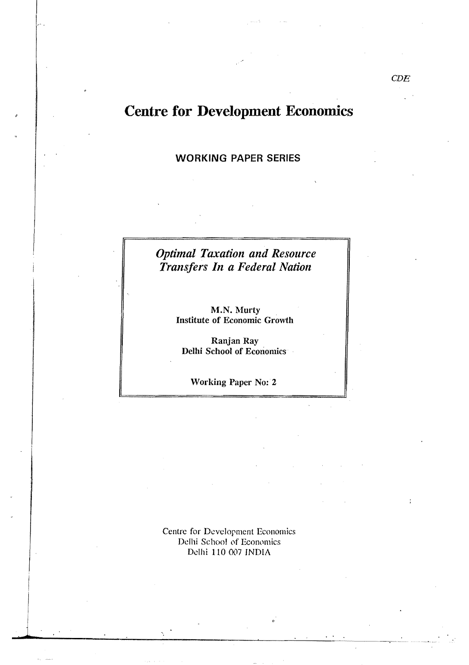# **Centre for Development Economics**

### **WORKING PAPER SERIES**

# **Optimal Taxation and Resource** Transfers In a Federal Nation

M.N. Murty **Institute of Economic Growth** 

Ranjan Ray Delhi School of Economics

**Working Paper No: 2** 

Centre for Development Economics Delhi School of Economics Delhi 110 007 INDIA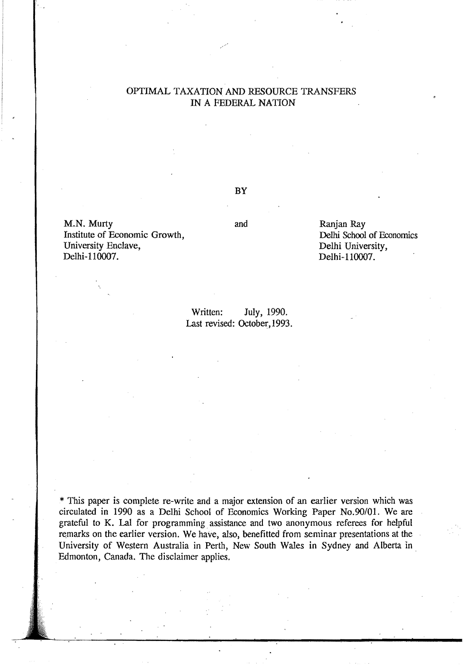## OPTIMAL TAXATION AND RESOURCE TRANSFERS IN A FEDERAL NATION

M.N. Murty and Ranjan Ray<br>
Institute of Economic Growth, and Delhi School of Economics Institute of Economic Growth, Delhi School of Economic Growth, Delhi School of Economic School of Economics School of Economics School of Economics School of Economics School of Economics School of Economics School of Econ University Enclave,<br>Delhi-110007.

BY

Delhi-110007.

Written: July, 1990. Last revised: October, 1993.

\* This paper is complete re-write and a major extension of an earlier version which was circulated in 1990 as a Delhi School of Economics Working Paper No.90/01. We are grateful to K. Lal for programming. assistance and two anonymous referees for helpful remarks on the earlier version. We have, also, benefitted from seminar presentations at the University of Western Australia in Perth, New South Wales in Sydney and Alberta in Edmonton, Canada. The disclaimer applies.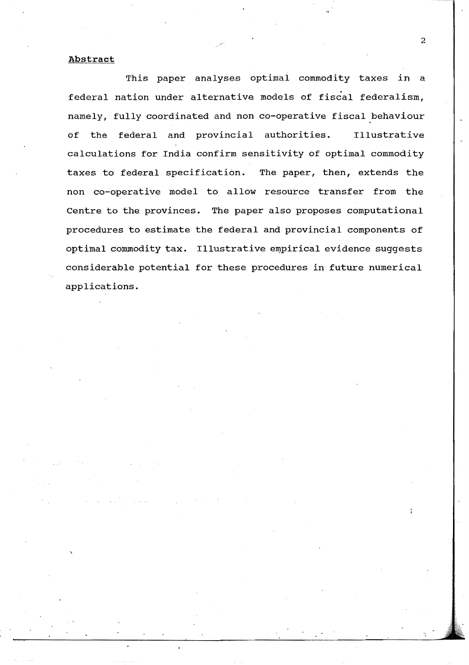#### Abstract

This paper analyses optimal commodity taxes in a federal nation under alternative models of fiscal federalism, namely, fully coordinated and non co-operative fiscal behaviour of the federal and provincial authorities. Illustrative calculations for India confirm sensitivity of optimal commodity taxes to federal specification. The paper, then, extends the non co-operative model to allow resource transfer from the Centre to the provinces. The paper also proposes computational procedures to estimate the federal and provincial components of optimal commodity tax. Illustrative empirical evidence suggests considerable potential for these procedures in future numerical applications.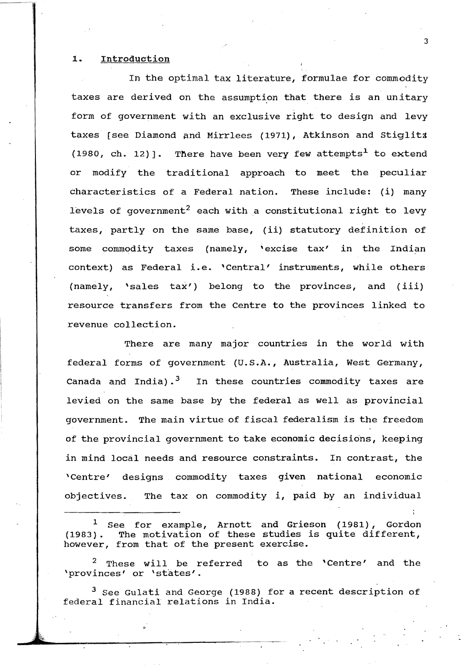#### **1.** Introduction

In the optimal tax literature, formulae for commodity taxes are derived on the assumption that there is an unitary form of government with an exclusive right to design and levy taxes [see Diamond pnd Mirrlees (1971), Atkinson and stiglitz (1980, ch. 12)]. There have been very few attempts<sup>1</sup> to extend or modify the traditional approach to meet the peculiar characteristics of a Federal nation. These include: (i) many levels of government<sup>2</sup> each with a constitutional right to levy taxes, partly on the same base, (ii) statutory definition of some commodity taxes (namely, 'excise tax' in the Indian context) as Federal i.e. 'Central' instruments, while others (namely, 'sales tax') belong to the provinces, and (iii) resource transfers from the Centre to the provinces linked to revenue collection.

There are many major countries in the world with federal forms of government (U.S.A., Australia, West Germany, Canada and India).<sup>3</sup> In these countries commodity taxes are levied on the same base by the federal as well as provincial government. The main virtue of fiscal federalism is the freedom of the provincial government to take economic decisions, keeping in mind local needs and resource constraints. In contrast, the 'Centre' designs commodity taxes given national economic objectives. The tax on commodity i, paid by an individual

<sup>1</sup> See for example, Arnott and Grieson (1981), Gordon (1983). The motivation of these studies is quite different, The motivation of these studies is quite different, however, from that of the present exercise.

<sup>2</sup> These will be referred to as the 'Centre' and the 'provinces' or 'states'.

 $3$  See Gulati and George (1988) for a recent description of federal financial relations in India.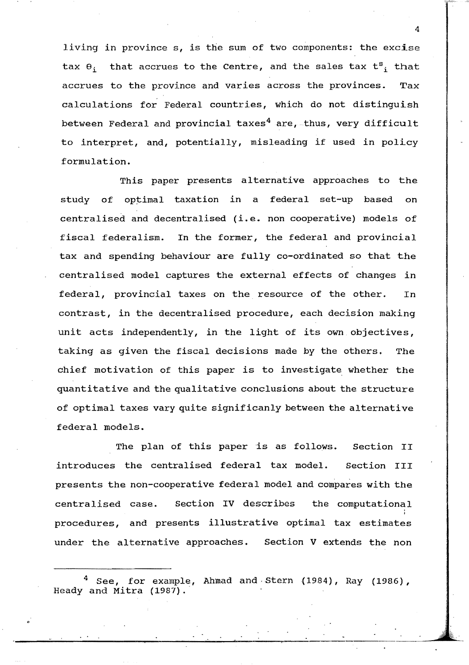living in province  $s$ , is the sum of two components: the excise tax  $\theta_i$  that accrues to the Centre, and the sales tax  $t^s$ , that accrues to the province and varies across the provinces. Tax calculations for Federal countries, which do not distinguish between Federal and provincial taxes<sup>4</sup> are, thus, very difficult to interpret, and, potentially, misleading if used in policy formulation.

This paper presents alternative approaches to the study of optimal taxation in a federal set-up based on centralised and decentralised (i.e. non cooperative) models of fiscal federalism. In the former, the federal and provincial tax and spending behaviour are fully co-ordinated so that the centralised model captures the external effects of changes in federal, provincial taxes on the resource of the other. In contrast, in the decentralised procedure, each decision making unit acts independently, in the light of its own objectives, taking as given the fiscal decisions made by the others. The chief motivation of this paper is to investigate whether the quantitative and the qualitative conclusions about the structure of optimal taxes vary quite significanly between the alternative federal models.

The plan of this paper is as follows. section II introduces the centralised federal tax model. section III presents the non-cooperative federal model and compares with the centralised case. section IV describes the computational procedures, and presents illustrative optimal tax estimates under the alternative approaches. section V extends the non

.  $\mathcal{L} \rightarrow \mathcal{L}$ 

 $4$  See, for example, Ahmad and Stern (1984), Ray (1986), Heady and Mitra (1987).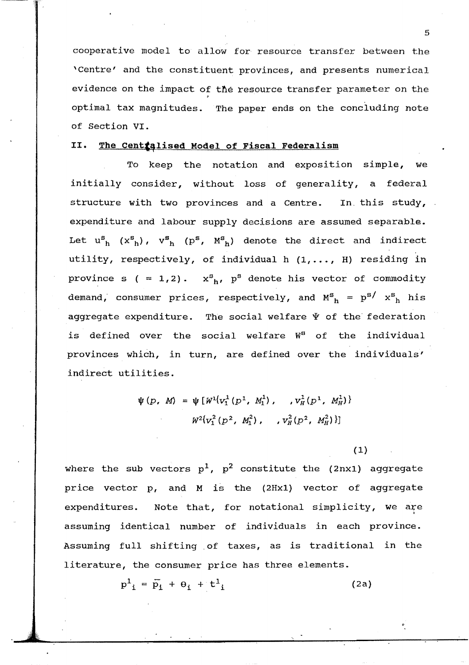cooperative model to allow for resource transfer between the 'Centre' and the constituent provinces, and presents numerical evidence on the impact of the resource transfer parameter on the .<br>optimal tax magnitudes. The paper ends on the concluding note of Section VI.

#### II. The **Centralised** Model of Fiscal Federalism

To keep the notation and exposition simple, we initially consider, without loss of generality, a federal structure with two provinces and a Centre. In this study, expenditure and labour supply decisions are assumed separable. Let  $u_{h}^{s}$   $(x_{h}^{s})$ ,  $v_{h}^{s}$   $(p^{s}$ ,  $M_{h}^{s})$  denote the direct and indirect utility, respectively, of individual h  $(1, \ldots, H)$  residing in province s ( = 1,2).  $x^{s}$ <sub>h</sub>,  $p^{s}$  denote his vector of commodity demand, consumer prices, respectively, and  $M_{h}^{s}$  =  $p^{s/}$   $x^{s}{}_{h}$  his aggregate expenditure. The social welfare  $\Psi$  of the federation is defined over the social welfare W<sup>S</sup> of the individual provinces which, in turn, are defined over the individuals' indirect utilities.

$$
\psi(p, M) = \psi[W^{1}(v_{1}^{1}(p^{1}, M_{1}^{1}), ..., v_{H}^{1}(p^{1}, M_{H}^{1}))
$$

$$
W^{2}(v_{1}^{2}(p^{2}, M_{1}^{2}), ..., v_{H}^{2}(p^{2}, M_{H}^{2}))
$$

(1)

where the sub vectors  $p^1$ ,  $p^2$  constitute the (2nx1) aggregate price vector p, and M is the (2Hx1) vector of aggregate expenditures. Note that, for notational simplicity, we are assuming identical number of individuals in each province. Assuming full shifting. of taxes, as is traditional in the literature, the consumer price has three elements.

 $p_{i}^{1} = \overline{p}_{i} + \theta_{i} + t_{i}^{1}$  (2a)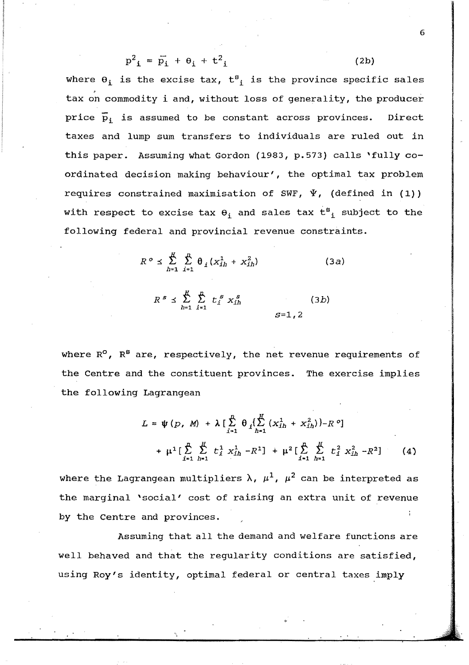$$
p^2_{\mathbf{i}} = \bar{p}_i + \theta_i + t^2_{\mathbf{i}} \tag{2b}
$$

where  $\theta_i$  is the excise tax,  $t_{i}$  is the province specific sales tax on commodity i and, without loss of generality, the producer price  $\bar{p}_i$  is assumed to be constant across provinces. Direct taxes and lump sum transfers to individuals are ruled out in this paper. Assuming what Gordon (1983, p. 573) calls 'fully coordinated decision making behaviour', the optimal tax problem requires constrained maximisation of SWF,  $\Psi$ , (defined in (1)) with respect to excise tax  $\theta_i$  and sales tax  $t^s{}_i$  subject to the following federal and provincial revenue constraints.

$$
R^{\circ} \leq \sum_{h=1}^{R} \sum_{i=1}^{R} \theta_{i} (x_{ih}^{1} + x_{ih}^{2})
$$
 (3*a*)

$$
R^{s} \leq \sum_{h=1}^{H} \sum_{i=1}^{n} t_{i}^{s} x_{ih}^{s}
$$
 (3*b*)  

$$
S=1,2
$$

where  $R^0$ ,  $R^B$  are, respectively, the net revenue requirements of the Centre and the constituent provinces. The exercise implies the following Lagrangean

$$
L = \psi(p, M) + \lambda \left[ \sum_{i=1}^{n} \theta_i \left( \sum_{h=1}^{H} (x_{ih}^1 + x_{ih}^2) \right) - R^o \right]
$$
  
+  $\mu^1 \left[ \sum_{i=1}^{n} \sum_{h=1}^{H} t_i^1 x_{ih}^1 - R^1 \right] + \mu^2 \left[ \sum_{i=1}^{n} \sum_{h=1}^{H} t_i^2 x_{ih}^2 - R^2 \right]$  (4)

where the Lagrangean multipliers  $\lambda$ ,  $\mu^1$ ,  $\mu^2$  can be interpreted as the marginal 'social' cost of raising an extra unit of revenue by the Centre and provinces.

Assuming that all the demand and welfare functions are well behaved and that the regularity conditions are satisfied, using Roy's identity, optimal federal or central taxes imply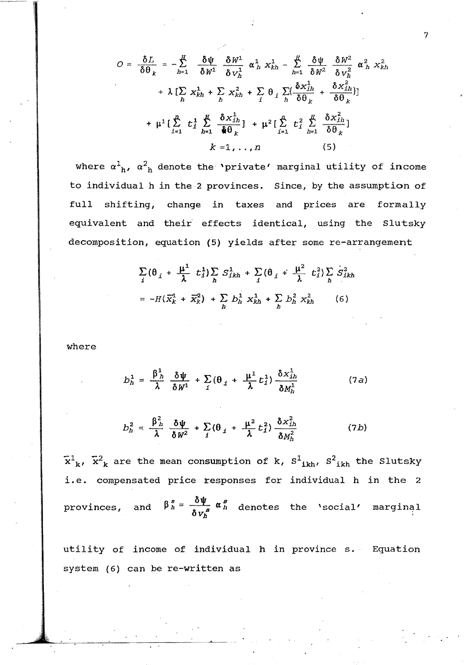$$
O = \frac{\delta L}{\delta \theta_k} = -\sum_{h=1}^H \frac{\delta \psi}{\delta W^1} \frac{\delta W^1}{\delta V_h^1} \alpha_h^1 X_{kh}^1 - \sum_{h=1}^H \frac{\delta \psi}{\delta W^2} \frac{\delta W^2}{\delta V_h^2} \alpha_h^2 X_{kh}^2
$$

$$
+ \lambda \left[ \sum_h X_{kh}^1 + \sum_h X_{kh}^2 + \sum_i \theta_i \sum_h (\frac{\delta X_{ih}^1}{\delta \theta_k} + \frac{\delta X_{ih}^2}{\delta \theta_k}) \right]
$$

$$
+ \mu^1 \left[ \sum_{i=1}^H t_i^1 \sum_{h=1}^H \frac{\delta X_{ih}^1}{\delta \theta_k} \right] + \mu^2 \left[ \sum_{i=1}^H t_i^2 \sum_{h=1}^H \frac{\delta X_{ih}^2}{\delta \theta_k} \right]
$$

$$
k = 1, ..., n \qquad (5)
$$

where  $\alpha^{1}_{h}$ ,  $\alpha^{2}_{h}$  denote the 'private' marginal utility of income to individual h in the 2 provinces. Since, by the assumption of full shifting, change in taxes and prices are formally equivalent and their' effects identical, using the Slutsky decomposition, equation (5) yields after some re-arrangement

$$
\sum_{i} (\theta_{i} + \frac{\mu^{1}}{\lambda} t_{i}^{1}) \sum_{h} S_{ikh}^{1} + \sum_{i} (\theta_{i} + \frac{\mu^{2}}{\lambda} t_{i}^{2}) \sum_{h} S_{ikh}^{2}
$$

$$
= -H(\overline{X}_{k}^{1} + \overline{X}_{k}^{2}) + \sum_{h} b_{h}^{1} X_{kh}^{1} + \sum_{h} b_{h}^{2} X_{kh}^{2} \qquad (6)
$$

where

$$
b_h^1 = \frac{\beta_h^1}{\lambda} \frac{\delta \psi}{\delta W^1} + \sum_j (\theta_j + \frac{\mu^1}{\lambda} t_j^1) \frac{\delta x_{ih}^1}{\delta M_h^1}
$$
 (7a)

$$
b_h^2 = \frac{\beta_h^2}{\lambda} \frac{\delta \psi}{\delta W^2} + \sum_j (\theta_j + \frac{\mu^2}{\lambda} t_j^2) \frac{\delta x_{ih}^2}{\delta M_h^2}
$$
 (7b)

 $\tilde{x}^1_{\ k}$ ,  $\tilde{x}^2_{\ k}$  are the mean consumption of k,  $S^1_{\ ikh}$ ,  $S^2_{\ ikh}$  the Slutsky i.e. compensated price responses for individual h in the 2 provinces, and  $\beta_h^s = \frac{\delta \psi}{\delta v_h^s} \alpha_h^s$  denotes the 'social' marginal

utility of income of individual h in province s. Equation system (6) can be re-written as

--'------------~.. -~-..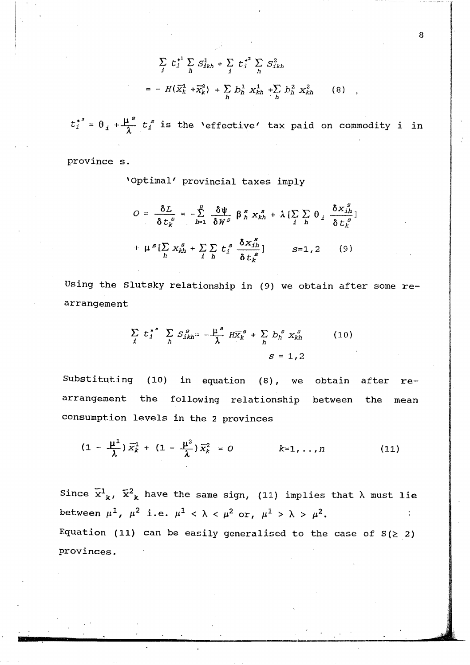$$
\sum_{j} t_{j}^{*1} \sum_{h} S_{jkh}^{1} + \sum_{j} t_{j}^{*2} \sum_{h} S_{jkh}^{2}
$$
\n
$$
= - H(\overline{X}_{k}^{1} + \overline{X}_{k}^{2}) + \sum_{h} b_{h}^{1} X_{kh}^{1} + \sum_{h} b_{h}^{2} X_{kh}^{2} \qquad (8)
$$

 $t_i^{*s} = \theta_i + \frac{\mu^s}{\lambda} t_i^s$  is the 'effective' tax paid on commodity i in

province s.

'Optimal' provincial taxes imply

$$
O = \frac{\delta L}{\delta t_k^s} = -\sum_{h=1}^H \frac{\delta \psi}{\delta W^s} \beta_h^s x_{kh}^s + \lambda \left[ \sum_i \sum_h \theta_i \frac{\delta x_{ih}^s}{\delta t_k^s} \right]
$$

$$
+ \mu^s \left[ \sum_h x_{kh}^s + \sum_i \sum_h t_i^s \frac{\delta x_{ih}^s}{\delta t_k^s} \right] \qquad S=1,2 \qquad (9)
$$

Using the Slutsky relationship in (9) we obtain after some rearrangement

$$
\sum_{i} t_i^{*s} \sum_{h} S_{ikh}^{g} = -\frac{\mu}{\lambda}^{s} H \overline{X}_k^{s} + \sum_{h} b_h^{s} X_{kh}^{s}
$$
 (10)

Substituting (10) in equation (8), we obtain after  $r$ earrangement the following relationship between the  $mean$ consumption levels in the 2 provinces

$$
(1 - \frac{\mu^{1}}{\lambda}) \overline{x}_{k}^{1} + (1 - \frac{\mu^{2}}{\lambda}) \overline{x}_{k}^{2} = 0 \qquad k=1,...,n
$$
 (11)

Since  $\tilde{x}^1_{k}$ ,  $\tilde{x}^2_{k}$  have the same sign, (11) implies that  $\lambda$  must lie between  $\mu^1$ ,  $\mu^2$  i.e.  $\mu^1$  <  $\lambda$  <  $\mu^2$  or,  $\mu^1$  >  $\lambda$  >  $\mu^2$ .  $\mathbf{r}$ Equation (11) can be easily generalised to the case of  $S(\geq 2)$ provinces.

 $\overline{8}$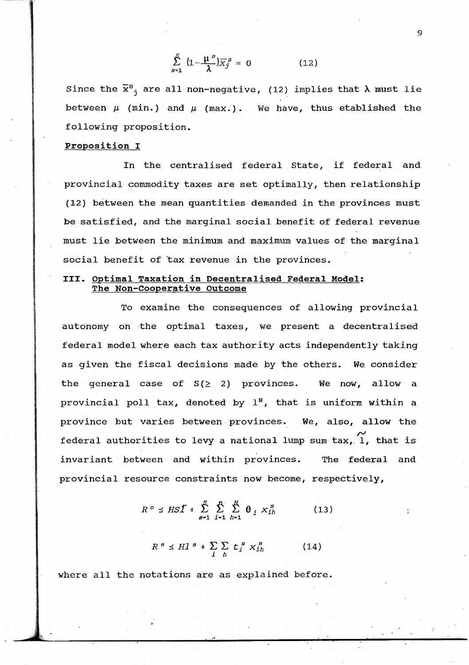$$
\sum_{s=1}^{S} \left(1 - \frac{\mu^s}{\lambda}\right) \overline{x}_j^s = 0 \qquad (12)
$$

Since the  $\bar{x}^s$  are all non-negative, (12) implies that  $\lambda$  must lie between  $\mu$  (min.) and  $\mu$  (max.). We have, thus etablished the following proposition.

#### proposition I

In the centralised federal state, if federal and provincial commodity taxes are set optimally, then relationship (12) between the mean quantities demanded in the provinces must be satisfied, and the marginal social benefit of federal revenue must lie between the minimum and maximum values of the marginal social benefit of tax revenue in the provinces.

#### III. Optimal Taxation in Decentralised Federal Model: The Non-Cooperative outcome

To examine the consequences of allowing provincial autonomy on the optimal taxes, we present a decentralised federal model where each tax authority acts independently taking as given the fiscal decisions made by the others. We consider the general case of  $S(\geq 2)$  provinces. We now, allow a provincial poll tax, denoted by  $1^8$ , that is uniform within a province but varies between provinces. We, also, allow the  $\widetilde{I}$  rederal authorities to levy a national lump sum tax,  $\widetilde{I}$ , that is invariant between and within provinces. The federal and provincial resource constraints now become, respectively,

$$
R^o \leq HST + \sum_{s=1}^{S} \sum_{i=1}^{n} \sum_{h=1}^{H} \theta_i x_{ih}^s
$$
 (13)

$$
R^s \preceq H l^s + \sum_{i} \sum_{h} t_i^s x_{i h}^s \qquad (14)
$$

where all the notations are as explained before.

 $\ddot{Q}$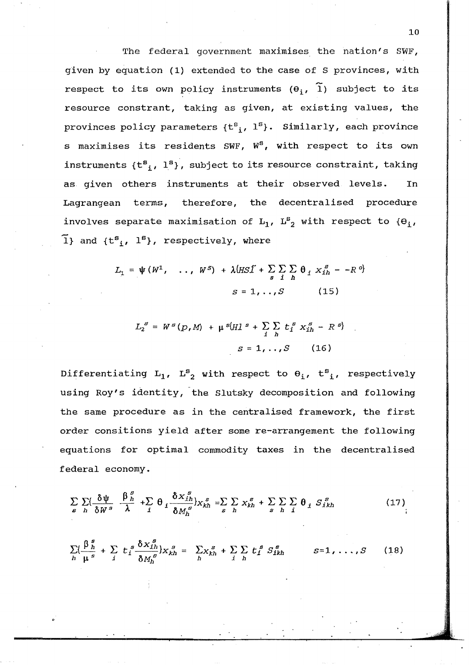The federal government maximises the nation's SWF, given by equation (1) extended to the case of S provinces, with respect to its own policy instruments  $(\theta_{\bf i},\,\, \widetilde{1})$  subject to its resource constrant, taking as given, at existing values, the provinces policy parameters  $\{t^s_{~\bf i},~1^s\}$ . Similarly, each province s maximises its residents SWF,  $W^S$ , with respect to its own instruments  $\{t^{s}, l^{s}\}$ , subject to its resource constraint, taking as given others instruments at their observed levels. In Lagrangean terms, therefore, the decentralised procedure involves separate maximisation of  $L_1$ ,  $L^s_{2}$  with respect to  $\{\Theta_{\underline{i}}, \underline{\ }$  $\tilde{1}$ } and {t<sup>s</sup><sub>i</sub>, 1<sup>s</sup>}, respectively, where

$$
L_1 = \psi(W^1, \dots, W^S) + \lambda (H S \tilde{\mathbf{I}} + \sum_{s} \sum_{i} \sum_{h} \theta_i X_{i}^s - -R^o)
$$
  

$$
S = 1, \dots, S \qquad (15)
$$

$$
L_2^s = W^s(p, M) + \mu^{s} (H1^s + \sum_{i} \sum_{h} t_i^s x_{ih}^s - R^s)
$$

$$
s = 1, ..., S \qquad (16)
$$

Differentiating  $L_1$ ,  $L^S_2$  with respect to  $\theta_i$ ,  $t^S_i$ , respectively using Roy's identity, the Slutsky decomposition and following the same procedure as in the centralised framework, the first order consitions yield after some re-arrangement the following equations for optimal commodity taxes in the decentralised federal economy.

$$
\sum_{s} \sum_{h} \left( \frac{\delta \psi}{\delta W^{s}} \frac{\beta_{h}^{s}}{\lambda} + \sum_{i} \theta_{i} \frac{\delta x_{ih}^{s}}{\delta M_{h}^{s}} \right) x_{kh}^{s} = \sum_{s} \sum_{h} x_{kh}^{s} + \sum_{s} \sum_{h} \sum_{i} \theta_{i} S_{ikh}^{s}
$$
(17)

$$
\sum_{h}\left(\frac{\beta_{h}^{s}}{\mu^{s}}+\sum_{i} t_{i}^{s}\frac{\delta x_{ih}^{s}}{\delta M_{h}^{s}}\right) x_{kh}^{s}=\sum_{h}x_{kh}^{s}+\sum_{i} t_{i}^{s} S_{ikh}^{s} \qquad s=1,\ldots,S \qquad (18)
$$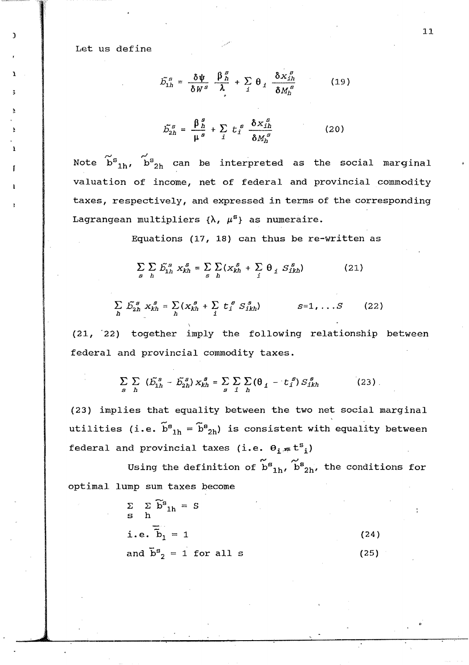Let us define

1

$$
\tilde{D}_{1h}^s = \frac{\delta \Psi}{\delta W^s} \frac{\beta_h^s}{\lambda} + \sum_i \theta_i \frac{\delta x_{1h}^s}{\delta M_h^s}
$$
 (19)

$$
\tilde{\mathcal{L}}_{2h}^s = \frac{\beta_h^s}{\mu^s} + \sum_i t_i^s \frac{\delta x_{ih}^s}{\delta M_h^s}
$$
 (20)

Note  $\widetilde{b}^{\mathbf{s}}_{1h}$ ,  $\tilde{\texttt{b}}^{\texttt{s}}_{2\texttt{h}}$  can be interpreted as the social marginal valuation of income, net of federal and provincial commodity taxes, respectively, and expressed in terms of the corresponding Lagrangean multipliers  $\{\lambda, \mu^s\}$  as numeraire.

Equations *(17,* 18) can thus be re-written as

 $\sum_{s} \sum_{h} \tilde{D}_{1h}^{s} x_{kh}^{s} = \sum_{s} \sum_{h} (x_{kh}^{s} + \sum_{i} \theta_{i} S_{ikh}^{s})$  $(21)$ 

$$
\sum_{h} \tilde{D}_{2h}^{s} X_{kh}^{s} = \sum_{h} (X_{kh}^{s} + \sum_{i} t_{i}^{s} S_{ikh}^{s}) \qquad s=1, \ldots S \qquad (22)
$$

(21., "22) together imply the following relationship between federal and provincial commodity taxes.

> $\sum_{s}\sum_{h}(\tilde{D}_{1h}^{s}-\tilde{D}_{2h}^{s})X_{kh}^{s}=\sum_{s}\sum_{i}\sum_{h}(\theta_{i}-t_{i}^{s})S_{ikh}^{s}$  $(23)$ .

(23) implies that equality between the two net social marginal utilities (i.e.  $\widetilde{\textbf{b}}^{\texttt{g}}{}_{1\textbf{h}} = \widetilde{\textbf{b}}^{\texttt{g}}{}_{2\textbf{h}}$ ) is consistent with equality between federal and provincial taxes (i.e.  $\theta_1 \neq t^s{}_i$ )

Using the definition of  $\tilde{\texttt{b}}^{\texttt{g}}{}_{1\texttt{h}}$ ,  $\tilde{\texttt{b}}^{\texttt{g}}{}_{2\texttt{h}}$ , the conditions for optimal lump sum taxes become

| $\begin{array}{ccc}\Sigma&\Sigma&\widetilde{\mathbf{b}}^{\mathrm{s}}_{1\mathrm{h}}=S\\ \mathbf{s}&\mathbf{h}\end{array}$ |      |
|--------------------------------------------------------------------------------------------------------------------------|------|
| i.e. $\tilde{b}_1 = 1$                                                                                                   | (24) |
| and $\overline{b}^s_2 = 1$ for all s                                                                                     | (25) |

 $\begin{bmatrix} 1 & 1 \\ 1 & 1 \end{bmatrix}$ 

..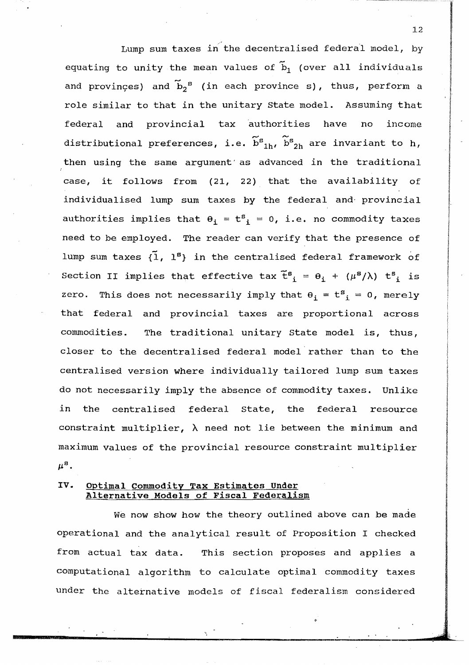Lump sum taxes in the decentralised federal model, by equating to unity the mean values of  $\tilde{b}_1$  (over all individuals and provinces) and  $\tilde{b}_2$ <sup>s</sup> (in each province s), thus, perform a role similar to that in the unitary state model. Assuming that federal and provincial tax authorities have no income distributional preferences, i.e.  $\widetilde{\texttt{b}}^{\texttt{s}}_{1\texttt{h}}$ ,  $\widetilde{\texttt{b}}^{\texttt{s}}_{2\texttt{h}}$  are invariant to  $\texttt{h}$ , then using the same argument' as advanced in the traditional case, it follows from (21, 22) that the availability of individualised lump sum taxes by the federal and- provincial authorities implies that  $\theta_i = t^s$  = 0, i.e. no commodity taxes need to be employed. The reader can verify that the presence of lump sum taxes  $\{1, 1^s\}$  in the centralised federal framework of Section II implies that effective tax  $\mathbf{\tilde{t}^s}_\mathbf{i}$ zero. This does not necessarily imply that  $\theta_i = t^s_i = 0$ , merely that federal and provincial taxes are proportional across commodities. The traditional unitary state model is, thus, closer to the decentralised federal model rather than to the centralised version where individually tailored lump sum taxes do not necessarily imply the absence of commodity taxes. Unlike in the centralised federal state, the federal resource constraint multiplier,  $\lambda$  need not lie between the minimum and maximum values of the provincial resource constraint multiplier  $\mu^{\rm B}$ .

#### IV. Optimal commodity Tax Estimates under Alternative Models of Fiscal Federalism

We now show how the theory outlined above can be made operational and the analytical result of Proposition I checked from actual tax data. This section proposes and applies a computational algorithm to calculate optimal commodity taxes under the alternative models of fiscal federalism considered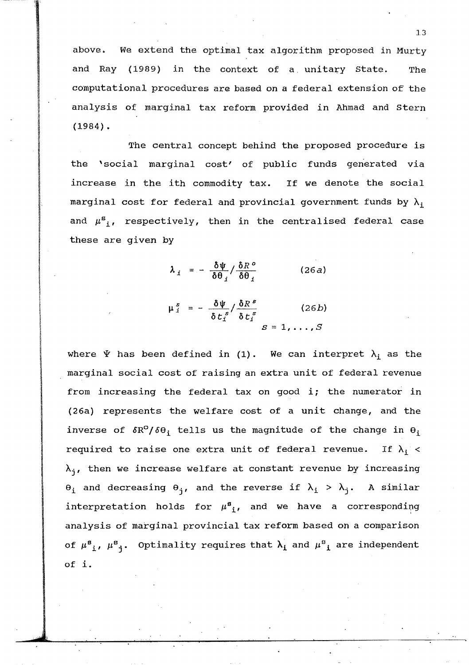above. We extend the optimal tax algorithm proposed in Murty and Ray ( 1989) in the context of a unitary state. The computational procedures are based on a federal extension of the analysis of marginal tax reform provided in Ahmad and stern (1984).

The central concept behind the proposed procedure is the 'social marginal cost' of public funds generated via increase in the ith commodity tax. If we denote the social marginal cost for federal and provincial government funds by  $\lambda_i$ and  $\mu^{s}$ ,, respectively, then in the centralised federal case these are given by

$$
\lambda_i = -\frac{\delta \psi}{\delta \theta_i} / \frac{\delta R^o}{\delta \theta_i} \qquad (26a)
$$

$$
\mu_{i}^{s} = -\frac{\delta \psi}{\delta t_{i}^{s}} / \frac{\delta R^{s}}{\delta t_{i}^{s}}
$$
 (26b)  

$$
s = 1, ..., S
$$

where  $\Psi$  has been defined in (1). We can interpret  $\lambda_i$  as the marginal social cost of raising an extra unit of federal revenue from increasing the federal tax on good i; the numerator in (26a) represents the welfare cost of a unit change, and the inverse of  $\delta R^{\circ}/\delta \theta$ ; tells us the magnitude of the change in  $\theta_i$ required to raise one extra unit of federal revenue. If  $\lambda_i$  <  $\lambda_i$ , then we increase welfare at constant revenue by increasing  $\Theta_i$  and decreasing  $\Theta_j$ , and the reverse if  $\lambda_i > \lambda_j$ . A similar interpretation holds for  $\mu^{\mathbf{g}}$ , and we have a corresponding analysis of marginal provincial tax reform based on a comparison of  $\mu^{\mathbf{g}}{}_{\mathbf{i}}$ ,  $\mu^{\mathbf{g}}{}_{\mathbf{j}}$ . Optimality requires that  $\lambda_{\mathbf{i}}$  and  $\mu^{\mathbf{g}}{}_{\mathbf{i}}$  are independent of i.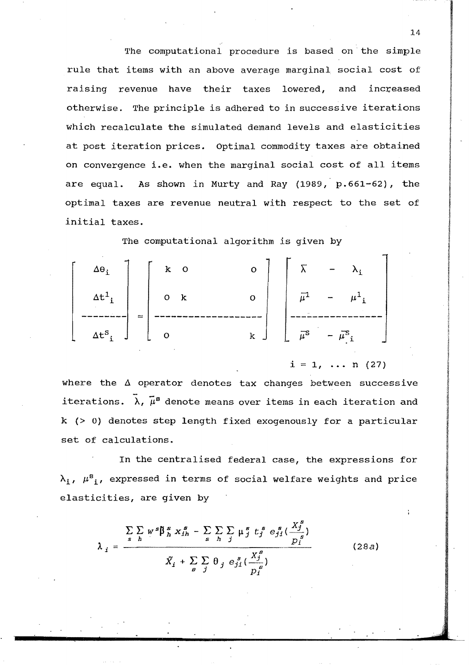The computational procedure is based on the simple rule that items with an above average marginal social cost of raising revenue have their taxes lowered, and increased otherwise. The principle is adhered to in successive iterations which recalculate the simulated demand levels and elasticities at post iteration prices. Optimal commodity taxes are obtained on convergence i.e. when the marginal social cost of all items As shown in Murty and Ray (1989, p.661-62), the are equal. optimal taxes are revenue neutral with respect to the set of initial taxes.

The computational algorithm is given by

| $\Delta\Theta$ ;           | $\overline{O}$<br>$-k$ | $\overline{O}$ |  |                                                             |  |
|----------------------------|------------------------|----------------|--|-------------------------------------------------------------|--|
| $\Delta t^1$ $\Big\vert$ , | $\overline{O}$ k       | $\overline{O}$ |  | $\bar{\mu}^1$ – ${\mu^1}_i$                                 |  |
| $\Delta t^{s}$ , $\int$    | $\mathbf{o}$           | $\mathbf{k}$   |  | $\overline{\mu}^{\text{S}}$ - $\overline{\mu}^{\text{S}}$ i |  |

 $i = 1, ... n (27)$ 

where the  $\Delta$  operator denotes tax changes between successive iterations.  $\bar{\lambda}$ ,  $\bar{\mu}^s$  denote means over items in each iteration and  $k$  (> 0) denotes step length fixed exogenously for a particular set of calculations.

In the centralised federal case, the expressions for  $\lambda_i$ ,  $\mu^s_i$ , expressed in terms of social welfare weights and price elasticities, are given by

$$
\lambda_j = \frac{\sum\limits_{s} \sum\limits_{h} w^s \beta^s_{h} x^s_{th} - \sum\limits_{s} \sum\limits_{h} \sum\limits_{j} \mu^s_{j} t^s_{j} e^s_{jl} (\frac{X^s_{j}}{p^s_{i}})}{\tilde{X}_i + \sum\limits_{g} \sum\limits_{j} \theta_{j} e^s_{jl} (\frac{X^s_{j}}{p^s_{i}})}
$$
(28a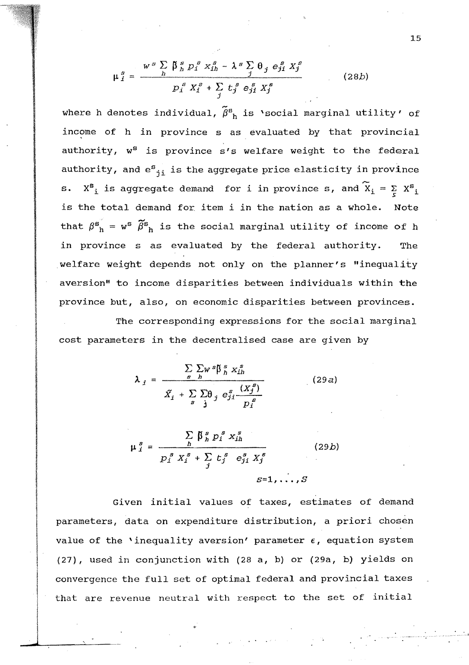$$
\mu_j^s = \frac{w^s \sum \beta_j^s p_j^s x_{ih}^s - \lambda^s \sum \theta_j e_{ji}^s x_j^s}{p_j^s x_j^s + \sum \theta_j^s e_{ji}^s x_j^s}
$$
 (28b)

where h denotes individual,  $\tilde{\beta}^{s}$  is 'social marginal utility' of income of h in province s as evaluated by that provincial authority,  $w^{s}$  is province s's welfare weight to the federal authority, and  $e^{s}{}_{i}$  is the aggregate price elasticity in province s.  $X_{i}^{s}$  is aggregate demand for i in province s, and  $\widetilde{X}_{i} = \sum_{s} X_{i}^{s}$ is the total demand for item i in the nation as a whole. Note that  $\beta^s$ <sup>*n*</sup> =  $w^s$   $\widetilde{\beta}^s$ <sup>*n*</sup> is the social marginal utility of income of h in province s as evaluated by the federal authority. The welfare weight depends not only on the planner's "inequality aversion" to income disparities between individuals within the province but, also, on economic disparities between provinces. The corresponding expressions for the social marginal

cost parameters in the decentralised case are given by

$$
\lambda_{i} = \frac{\sum_{s} \sum_{h} w^{s} \beta^{s}_{h} x_{ih}^{s}}{\tilde{X}_{i} + \sum_{s} \sum_{h} \theta_{j} e^{s}_{ji} \frac{(X_{j}^{s})}{D^{s}}}
$$
(29a)

$$
\mu_{i}^{s} = \frac{\sum_{h} \beta_{h}^{s} p_{i}^{s} x_{ih}^{s}}{p_{i}^{s} x_{i}^{s} + \sum_{j} t_{j}^{s} e_{ji}^{s} x_{j}^{s}}
$$
(29*b*)  

$$
s=1, ..., S
$$

Given initial values of taxes, estimates of demand parameters, data on expenditure distribution, a priori chosen value of the 'inequality aversion' parameter  $\epsilon$ , equation system (27), used in conjunction with (28 a, b) or (29a, b) yields on convergence the full set of optimal federal and provincial taxes that are revenue neutral with respect to the set of initial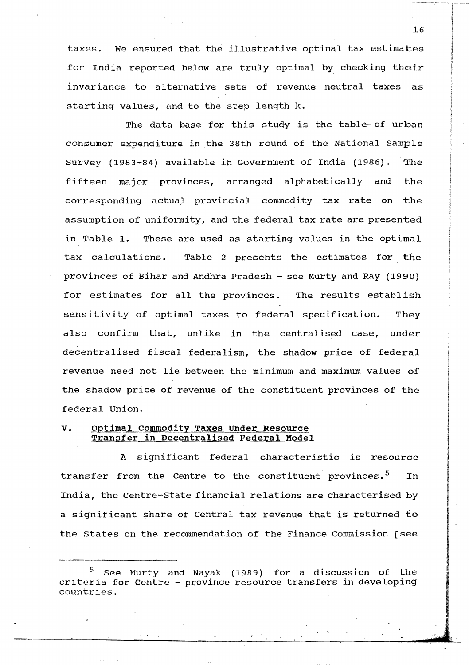taxes. We ensured that the illustrative optimal tax estimates for India reported below are truly optimal by checking their invariance to alternative sets of revenue neutral taxes as starting values, and to the step length k.

The data base for this study is the table-of urban consumer expenditure in the 38th round of the National Sample Survey (1983-84) available in Government of India (1986). The fifteen major provinces, arranged alphabetically and the corresponding actual provincial commodity tax rate on the assumption of uniformity, and the federal tax rate are presented in Table **1.** These are used as starting values in the optimal tax calculations. Table 2 presents the estimates for the provinces of Bihar and Andhra Pradesh - see Murty and Ray (1990) for estimates for all the provinces. The results establish sensitivity of optimal taxes to federal specification. They also confirm that, unlike in the centralised case, under decentralised fiscal federalism, the shadow price of federal revenue need not lie between the minimum and maximum values of the shadow price of revenue of the constituent provinces of the federal Union.

#### **v. optimal Commodity Taxes Under Resource Transfer in Decentralised Federal Model**

A significant federal characteristic is resource transfer from the Centre to the constituent provinces.<sup>5</sup> In India, the Centre-State financial relations are characterised by a significant share of Central tax revenue that is returned to the states on the recommendation of the Finance Commission [see

:1.6

See Murty and Nayak (1989) for a discussion of the criteria for Centre - province resource transfers in developing countries.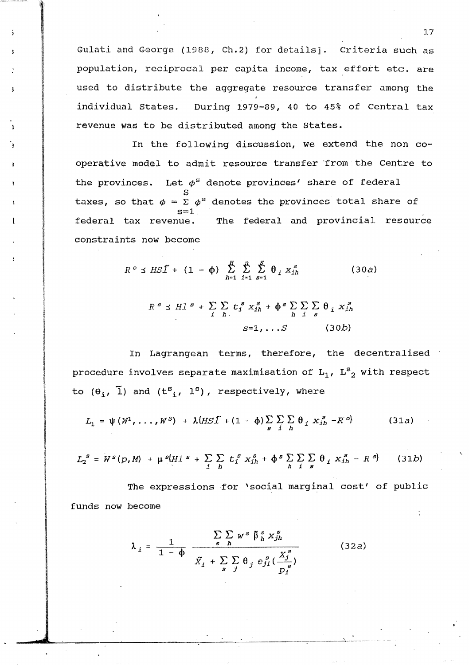Gulati and George (1988, Ch.2) for details]. criteria such as population, reciprocal per capita income, tax effort etc. are used to distribute the aggregate resource transfer among the individual states. During 1979-89, 40 to 45% of Central tax revenue was to be distributed among the states.

In the following discussion, we extend the non cooperative model to admit resource transfer 'from the Centre to the provinces. Let  $\phi^s$  denote provinces' share of federal taxes, so that  $\phi = \Sigma \phi^{\texttt{S}}$  denotes the provinces total share of federal tax revenue. The federal and provincial resource constraints now become

$$
R^o \preceq HSI + (1 - \phi) \sum_{h=1}^{n} \sum_{i=1}^{n} \sum_{s=1}^{s} \theta_i x_{ih}^s
$$
 (30*a*)  

$$
R^s \preceq HI^s + \sum_{i} \sum_{h} t_i^s x_{ih}^s + \phi^s \sum_{h} \sum_{i} \sum_{s} \theta_i x_{ih}^s
$$
  

$$
S=1, \ldots S
$$
 (30*b*)

In Lagrangean terms, therefore, the decentralised procedure involves separate maximisation of  $\text{L}_1$ ,  $\text{L}_2^\texttt{s}$  with respect to  $(\theta_i, \tilde{l})$  and  $(t^s_i, l^s)$ , respectively, where

$$
L_1 = \psi(W^1, \ldots, W^S) + \lambda \{ H S \tilde{\mathcal{I}} + (1 - \phi) \sum_{g} \sum_{i} \sum_{h} \theta_i X_{ih}^g - R^o \}
$$
 (31a)

$$
L_2^S = W^S(p, M) + \mu^S[H] + \sum_{i} \sum_{h} t_i^S x_{ih}^S + \phi^S \sum_{h} \sum_{i} \sum_{g} \theta_i x_{ih}^S - R^S \}
$$
 (31b)

The expressions for 'social marginal cost' of public funds now become

$$
\lambda_{i} = \frac{1}{1 - \phi} \frac{\sum\limits_{s} \sum\limits_{h} w^{s} \beta^{s}_{h} x^{s}_{jh}}{\tilde{X}_{i} + \sum\limits_{s} \sum\limits_{j} \theta_{j} e^{s}_{jl} (\frac{X^{s}_{j}}{p^{s}_{i}})}
$$
(32*a*)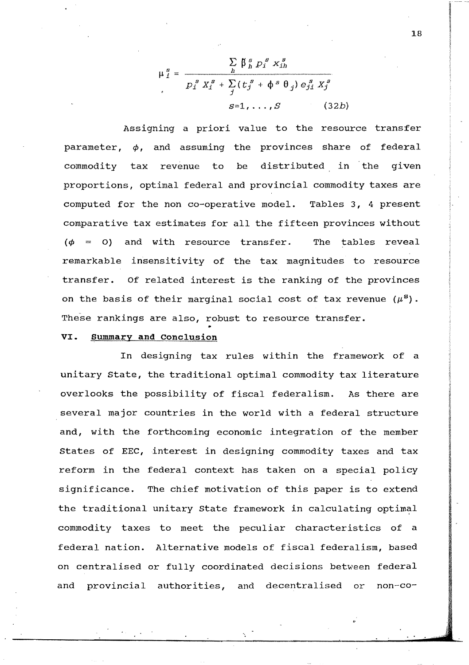$$
\mu_j^g = \frac{\sum\limits_h \beta_h^g p_j^g x_{ih}^g}{p_j^g x_j^g + \sum\limits_j (t_j^g + \phi^g \theta_j) e_{j,j}^g x_j^g}
$$
\n
$$
s=1,\ldots,S \qquad (32b)
$$

Assigning a priori value to the resource transfer parameter,  $\phi$ , and assuming the provinces share of federal commodity tax revenue to be distributed in the given proportions, optimal federal and provincial commodity taxes are computed for the non co-operative model. Tables 3, 4 present comparative tax estimates for all the fifteen provinces without  $(\phi = 0)$  and with resource transfer. The tables reveal remarkable insensitivity of the tax magnitudes to resource transfer. Of related interest is the ranking of the provinces on the basis of their marginal social cost of tax revenue  $(\mu^{\mathbf{S}})$ . These rankings are also, robust to resource transfer.

#### **VI. Summary and conclusion**

In designing tax rules within the framework of a unitary state, the traditional optimal commodity tax literature overlooks the possibility of fiscal federalism. As there are several major countries in the world with a federal structure and, with the forthcoming economic integration of the member States of EEC, interest in designing commodity taxes and tax reform in the federal context has taken on a special policy significance. The chief motivation of this paper is to extend the traditional unitary State framework in calculating optimal commodity taxes to meet the peculiar characteristics of a federal nation. Alternative models of fiscal federalism, based on centralised or fully coordinated decisions between federal and provincial authorities, and decentralised or non-co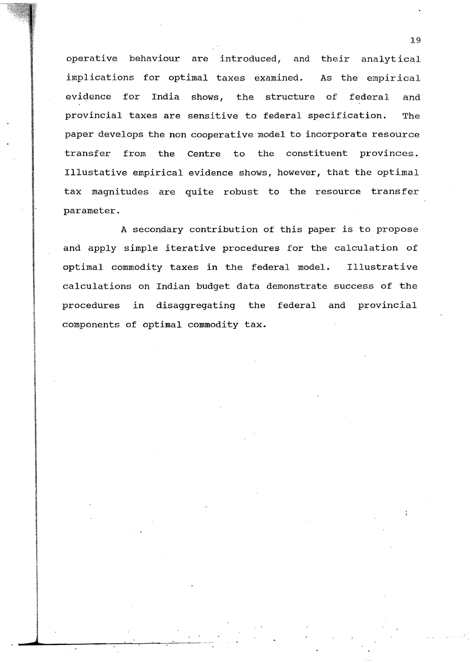operative behaviour are introduced, and their analytical implications for optimal taxes examined. As the empirical evidence for India shows, the structure of federal and provincial taxes are sensitive to federal specification. The paper develops the non cooperative model to incorporate resource transfer from the Centre to the constituent provinces. Illustative empirical evidence shows, however, that the optimal tax magnitudes are quite robust to the resource transfer parameter.

A secondary contribution of this paper is to propose and apply simple iterative procedures for the calculation of optimal commodity taxes in the federal model. Illustrative calculations on Indian budget data demonstrate success of the procedures in disaggregating the federal and provincial components of optimal commodity tax.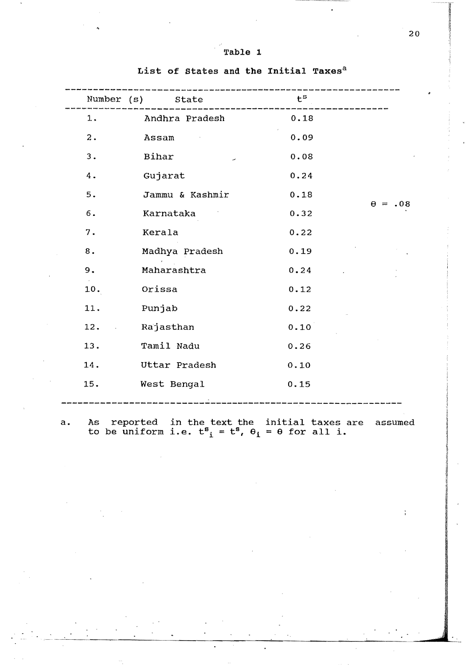| Table |  |  |
|-------|--|--|
|       |  |  |

| Number (s) State |           |                 | $t^s$ |  |                |
|------------------|-----------|-----------------|-------|--|----------------|
| 1.               |           | Andhra Pradesh  | 0.18  |  |                |
| 2.               | Assam     |                 | 0.09  |  |                |
| 3.               | Bihar     |                 | 0.08  |  |                |
| 4.               | Gujarat   |                 | 0.24  |  |                |
| 5.               |           | Jammu & Kashmir | 0.18  |  | $\theta = .08$ |
| $6.$             |           | Karnataka       | 0.32  |  |                |
| 7.               | Kerala    |                 | 0.22  |  |                |
| 8.               |           | Madhya Pradesh  | 0.19  |  |                |
| 9.               |           | Maharashtra     | 0.24  |  |                |
| 10.              | Orissa    |                 | 0.12  |  |                |
| 11.              | Punjab    |                 | 0.22  |  |                |
| 12.              | Rajasthan |                 | 0.10  |  |                |
| 13.              |           | Tamil Nadu      | 0.26  |  |                |
| 14.              |           | Uttar Pradesh   | 0.10  |  |                |
| 15.              |           | West Bengal     | 0.15  |  |                |
|                  |           |                 |       |  |                |

List of States and the Initial Taxes<sup>a</sup>

As reported in the text the initial taxes are assumed<br>to be uniform i.e.  $t^s_i = t^s$ ,  $\theta_i = \theta$  for all i.  $\mathbf{a}$ .